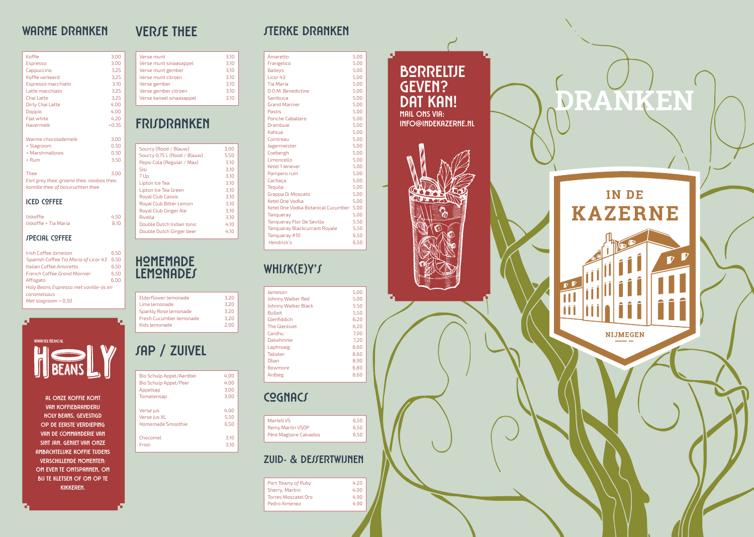

## **warme dranken sterke dranken**

### **Cognacs**

#### **Zuid- & Dessertwijnen**

# **frisdranken**

# **sap / zuivel**

Flat white  $4,20$ Havermelk +0,35

Warme chocolademelk 3,00 + Slagroom 0,50

Thee 3,00 *Earl grey thee, groene thee, rooibos thee, kamille thee of bosvruchten thee*

+ Rum 3,50

**iced coffee**

IJskoffie 4,50 IJskoffie + Tia Maria 8,10

**special coffee**

Irish Coffee *Jameson* 6,50 Spanish Coffee *Tia Maria of Licor 43* 6,50 Italian Coffee *Amaretto* 6,50 French Coffee *Grand Marnier* 6,50 Affogato 6,00 *Holy Beans Espresso met vanille-ijs en* 

+ Marshmallows

*caramelsaus Met slagroom + 0,50*

Koffie Espresso Cappuccino Koffie verkeerd Espresso macchiato Latte macchiato Chai Latte Dirty Chai Latte Doppio

#### **VERSE THEE**

 $3,10$  $3,10$ <br> $3,10$ 

| Amaretto                                | 5,00 |
|-----------------------------------------|------|
| Frangelico                              | 5,00 |
| <b>Baileys</b>                          | 5,00 |
| Licor 43                                | 5,00 |
| <b>Tia Maria</b>                        | 5,00 |
| D.O.M. Benedictine                      | 5,00 |
| Sambuca                                 | 5,00 |
| <b>Grand Marnier</b>                    | 5,00 |
| Pastis                                  | 5,00 |
| <b>Ponche Caballero</b>                 | 5,00 |
| Drambuie                                | 5,00 |
| Kahlua                                  | 5,00 |
| Cointreau                               | 5,00 |
| Jagermeister                            | 5,00 |
| Coebergh                                | 5,00 |
| Limoncello                              | 5,00 |
| Ketel 1 Jenever                         | 5,00 |
| Pampero rum                             | 5,00 |
| Cachaca                                 | 5,00 |
| Tequila                                 | 5,00 |
| Grappa Di Moscato                       | 5,00 |
| Ketel One Vodka                         | 5,00 |
| Ketel One Vodka Botanical Cucumber 5,00 |      |
| Tanqueray                               | 5,00 |
| Tanqueray Flor De Sevilla               | 5,50 |
| <b>Tanguaray Blackcurrant Royale</b>    | 5,50 |
| Tanguaray #10                           | 6,50 |
| Hendrick's                              | 6,50 |
|                                         |      |

### WHISK(E)Y'S

| Jameson             | 5,00 |
|---------------------|------|
| Johnny Walker Red   | 5,00 |
| Johnny Walker Black | 5,50 |
| Bulleit             | 5,50 |
| Glenfiddich         | 6,20 |
| The Glenlivet       | 6.20 |
| Cardhu              | 7.00 |
| Dalwhinnie          | 7,20 |
| Laphroaig           | 8,60 |
| Talisker            | 8,60 |
| Oban                | 8,90 |
| <b>Bowmore</b>      | 6,80 |
| Ardbeg              | 8,60 |
|                     |      |

| Martell VS             | 6,50 |
|------------------------|------|
| Remy Martin VSOP       | 6.50 |
| Père Magloire Calvados | 6.50 |

| Port Tawny of Ruby  | 4.20 |
|---------------------|------|
| Sherry, Martini     | 4.00 |
| Torres Moscatel Oro | 4.90 |
| Pedro Ximenez       | 4.90 |

| Sourcy (Rood / Blauw)        | 3,00 |
|------------------------------|------|
| Sourcy 0,75 L (Rood / Blauw) | 5,50 |
| Pepsi Cola (Regular / Max)   | 3.10 |
| Sisi                         | 3.10 |
| 7 Up                         | 3,10 |
| Lipton Ice Tea               | 3,10 |
| Lipton Ice Tea Green         | 3.10 |
| <b>Royal Club Cassis</b>     | 3.10 |
| Royal Club Bitter Lemon      | 3,10 |
| Royal Club Ginger Ale        | 3.10 |
| Rivella                      | 3.10 |
| Double Dutch Indian tonic    | 4.10 |
| Double Dutch Ginger beer     | 4.10 |
|                              |      |

| Bio Schulp Appel/Aardbei     | 4.00 |
|------------------------------|------|
| <b>Bio Schulp Appel/Peer</b> | 4.00 |
| Appelsap                     | 3.00 |
| Tomatensap                   | 3,00 |
| Verse jus                    | 4.00 |
| Verse jus XL                 | 5.50 |
| Homemade Smoothie            | 6.50 |
| Chocomel                     | 3.10 |
| Fristi                       | 3.10 |

#### **Homemade lemonades**

| Elderflower lemonade    | 3.20 |
|-------------------------|------|
| Lime lemonade           | 3.20 |
| Sparkly Rose lemonade   | 3.20 |
| Fresh Cucumber lemonade | 3.20 |
| Kids lemonade           | 2.00 |
|                         |      |

| 3,00 | Verse munt               | 3,10 |
|------|--------------------------|------|
| 3,00 | Verse munt sinaasappel   | 3,10 |
| 3,25 | Verse munt gember        | 3,10 |
| 3,25 | Verse munt citroen       | 3,10 |
| 3,10 | Verse gember             | 3,10 |
| 3,25 | Verse gember citroen     | 3,10 |
| 3,25 | Verse kaneel sinaasappel | 3,10 |
| 4,00 |                          |      |
| 4.OC |                          |      |

# **Borreltje geven? Dat kan!**

**MAIL ONS VIA: INFO@INDEKAZERNE.NL**



WWW.HOLYBEANS.NL

**AL ONZE KOFFIE KOMT VAN KOFFIEBRANDERIJ HOLY BEANS, GEVESTIGD OP DE EERSTE VERDIEPING VAN DE COMMANDERIE VAN SINT JAN. GENIET VAN ONZE AMBACHTELIJKE KOFFIE TIJDENS VERSCHILLENDE MOMENTEN:** 

**OM EVEN TE ONTSPANNEN, OM BIJ TE KLETSEN OF OM OP TE KIKKEREN.**